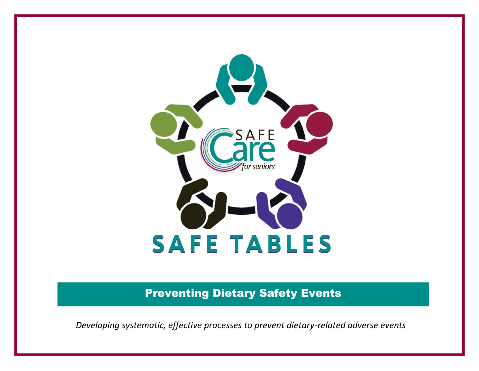

Preventing Dietary Safety Events

*Developing systematic, effective processes to prevent dietary-related adverse events*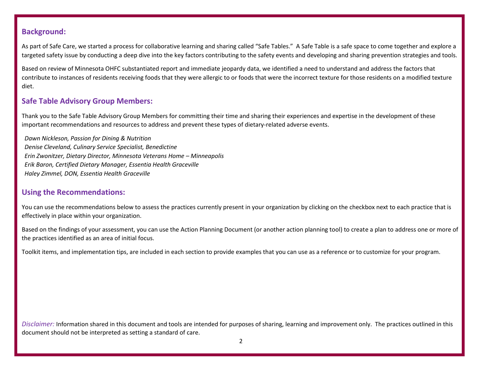#### **Background:**

As part of Safe Care, we started a process for collaborative learning and sharing called "Safe Tables." A Safe Table is a safe space to come together and explore a targeted safety issue by conducting a deep dive into the key factors contributing to the safety events and developing and sharing prevention strategies and tools.

Based on review of Minnesota OHFC substantiated report and immediate jeopardy data, we identified a need to understand and address the factors that contribute to instances of residents receiving foods that they were allergic to or foods that were the incorrect texture for those residents on a modified texture diet.

### **Safe Table Advisory Group Members:**

Thank you to the Safe Table Advisory Group Members for committing their time and sharing their experiences and expertise in the development of these important recommendations and resources to address and prevent these types of dietary-related adverse events.

*Dawn Nickleson, Passion for Dining & Nutrition Denise Cleveland, Culinary Service Specialist, Benedictine Erin Zwonitzer, Dietary Director, Minnesota Veterans Home – Minneapolis Erik Baron, Certified Dietary Manager, Essentia Health Graceville Haley Zimmel, DON, Essentia Health Graceville*

#### **Using the Recommendations:**

You can use the recommendations below to assess the practices currently present in your organization by clicking on the checkbox next to each practice that is effectively in place within your organization.

Based on the findings of your assessment, you can use the Action Planning Document (or another action planning tool) to create a plan to address one or more of the practices identified as an area of initial focus.

Toolkit items, and implementation tips, are included in each section to provide examples that you can use as a reference or to customize for your program.

*Disclaimer:* Information shared in this document and tools are intended for purposes of sharing, learning and improvement only. The practices outlined in this document should not be interpreted as setting a standard of care.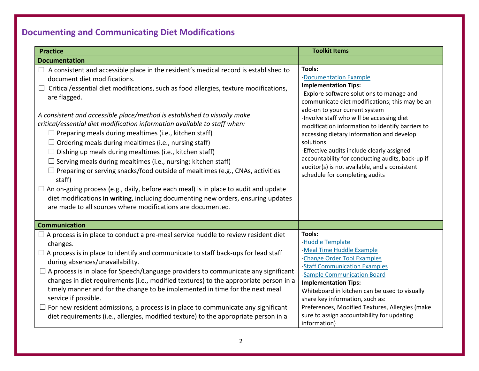# **Documenting and Communicating Diet Modifications**

| <b>Practice</b>                                                                                                                                                                                                                                                                                                                                                                                                                                                                                                                                                                                                                                                                                                                                                                                                                                                                                                                                                                                                       | <b>Toolkit Items</b>                                                                                                                                                                                                                                                                                                                                                                                                                                                                                                                            |  |
|-----------------------------------------------------------------------------------------------------------------------------------------------------------------------------------------------------------------------------------------------------------------------------------------------------------------------------------------------------------------------------------------------------------------------------------------------------------------------------------------------------------------------------------------------------------------------------------------------------------------------------------------------------------------------------------------------------------------------------------------------------------------------------------------------------------------------------------------------------------------------------------------------------------------------------------------------------------------------------------------------------------------------|-------------------------------------------------------------------------------------------------------------------------------------------------------------------------------------------------------------------------------------------------------------------------------------------------------------------------------------------------------------------------------------------------------------------------------------------------------------------------------------------------------------------------------------------------|--|
| <b>Documentation</b>                                                                                                                                                                                                                                                                                                                                                                                                                                                                                                                                                                                                                                                                                                                                                                                                                                                                                                                                                                                                  |                                                                                                                                                                                                                                                                                                                                                                                                                                                                                                                                                 |  |
| A consistent and accessible place in the resident's medical record is established to<br>document diet modifications.<br>Critical/essential diet modifications, such as food allergies, texture modifications,<br>are flagged.<br>A consistent and accessible place/method is established to visually make<br>critical/essential diet modification information available to staff when:<br>$\Box$ Preparing meals during mealtimes (i.e., kitchen staff)<br>$\Box$ Ordering meals during mealtimes (i.e., nursing staff)<br>$\Box$ Dishing up meals during mealtimes (i.e., kitchen staff)<br>$\Box$ Serving meals during mealtimes (i.e., nursing; kitchen staff)<br>$\Box$ Preparing or serving snacks/food outside of mealtimes (e.g., CNAs, activities<br>staff)<br>$\Box$ An on-going process (e.g., daily, before each meal) is in place to audit and update<br>diet modifications in writing, including documenting new orders, ensuring updates<br>are made to all sources where modifications are documented. | Tools:<br>-Documentation Example<br><b>Implementation Tips:</b><br>-Explore software solutions to manage and<br>communicate diet modifications; this may be an<br>add-on to your current system<br>-Involve staff who will be accessing diet<br>modification information to identify barriers to<br>accessing dietary information and develop<br>solutions<br>-Effective audits include clearly assigned<br>accountability for conducting audits, back-up if<br>auditor(s) is not available, and a consistent<br>schedule for completing audits |  |
| <b>Communication</b>                                                                                                                                                                                                                                                                                                                                                                                                                                                                                                                                                                                                                                                                                                                                                                                                                                                                                                                                                                                                  |                                                                                                                                                                                                                                                                                                                                                                                                                                                                                                                                                 |  |
| $\Box$ A process is in place to conduct a pre-meal service huddle to review resident diet<br>changes.<br>$\Box$ A process is in place to identify and communicate to staff back-ups for lead staff<br>during absences/unavailability.<br>$\Box$ A process is in place for Speech/Language providers to communicate any significant<br>changes in diet requirements (i.e., modified textures) to the appropriate person in a<br>timely manner and for the change to be implemented in time for the next meal<br>service if possible.<br>$\Box$ For new resident admissions, a process is in place to communicate any significant<br>diet requirements (i.e., allergies, modified texture) to the appropriate person in a                                                                                                                                                                                                                                                                                               | Tools:<br>-Huddle Template<br>-Meal Time Huddle Example<br>-Change Order Tool Examples<br>-Staff Communication Examples<br>-Sample Communication Board<br><b>Implementation Tips:</b><br>Whiteboard in kitchen can be used to visually<br>share key information, such as:<br>Preferences, Modified Textures, Allergies (make<br>sure to assign accountability for updating<br>information)                                                                                                                                                      |  |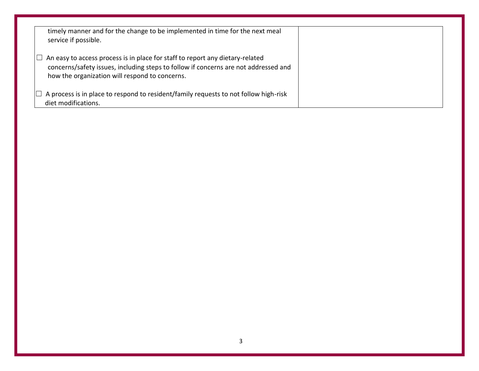| timely manner and for the change to be implemented in time for the next meal<br>service if possible.                                                                                                                             |  |
|----------------------------------------------------------------------------------------------------------------------------------------------------------------------------------------------------------------------------------|--|
| An easy to access process is in place for staff to report any dietary-related<br>$\Box$<br>concerns/safety issues, including steps to follow if concerns are not addressed and<br>how the organization will respond to concerns. |  |
| $\Box$ A process is in place to respond to resident/family requests to not follow high-risk<br>diet modifications.                                                                                                               |  |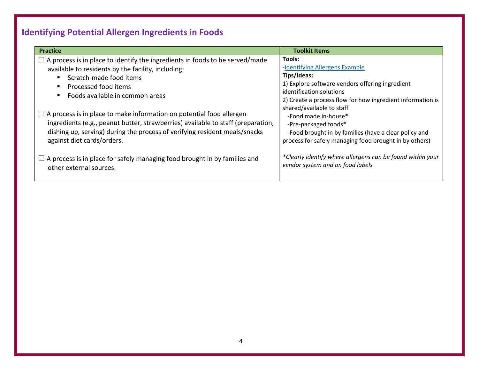# **Identifying Potential Allergen Ingredients in Foods**

| <b>Practice</b>                                                                     | <b>Toolkit Items</b>                                       |  |
|-------------------------------------------------------------------------------------|------------------------------------------------------------|--|
| $\Box$ A process is in place to identify the ingredients in foods to be served/made | Tools:                                                     |  |
| available to residents by the facility, including:                                  | -Identifying Allergens Example                             |  |
| Scratch-made food items                                                             | Tips/Ideas:                                                |  |
| ٠                                                                                   | 1) Explore software vendors offering ingredient            |  |
| Processed food items                                                                | identification solutions                                   |  |
| п                                                                                   | 2) Create a process flow for how ingredient information is |  |
| Foods available in common areas                                                     | shared/available to staff                                  |  |
| $\Box$ A process is in place to make information on potential food allergen         | -Food made in-house*                                       |  |
| ingredients (e.g., peanut butter, strawberries) available to staff (preparation,    | -Pre-packaged foods*                                       |  |
| dishing up, serving) during the process of verifying resident meals/snacks          | -Food brought in by families (have a clear policy and      |  |
| against diet cards/orders.                                                          | process for safely managing food brought in by others)     |  |
| $\Box$ A process is in place for safely managing food brought in by families and    | *Clearly identify where allergens can be found within your |  |
| other external sources.                                                             | vendor system and on food labels                           |  |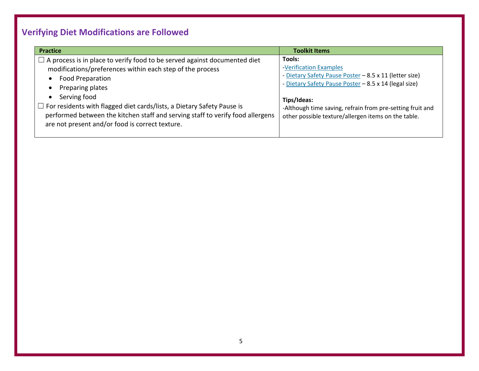# **Verifying Diet Modifications are Followed**

| <b>Practice</b>                                                                                                                                                                                                                                                                                                                                                                                                             | <b>Toolkit Items</b>                                                                                                                                                                                                                                                                   |
|-----------------------------------------------------------------------------------------------------------------------------------------------------------------------------------------------------------------------------------------------------------------------------------------------------------------------------------------------------------------------------------------------------------------------------|----------------------------------------------------------------------------------------------------------------------------------------------------------------------------------------------------------------------------------------------------------------------------------------|
| $\Box$ A process is in place to verify food to be served against documented diet<br>modifications/preferences within each step of the process<br>Food Preparation<br>Preparing plates<br>Serving food<br>$\Box$ For residents with flagged diet cards/lists, a Dietary Safety Pause is<br>performed between the kitchen staff and serving staff to verify food allergens<br>are not present and/or food is correct texture. | Tools:<br>-Verification Examples<br>- Dietary Safety Pause Poster - 8.5 x 11 (letter size)<br>- Dietary Safety Pause Poster - 8.5 x 14 (legal size)<br>Tips/Ideas:<br>-Although time saving, refrain from pre-setting fruit and<br>other possible texture/allergen items on the table. |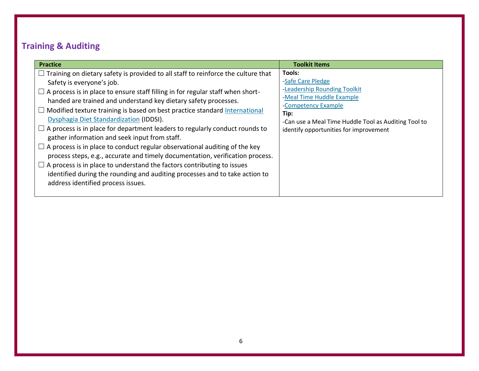### **Training & Auditing**

| <b>Practice</b>                                                                                                                                                                                                                                                                                                                                                                                                                                                                                                                                                                                                                                                                                                                                                                                                                                                                                   | <b>Toolkit Items</b>                                                                                                                                                                                                      |
|---------------------------------------------------------------------------------------------------------------------------------------------------------------------------------------------------------------------------------------------------------------------------------------------------------------------------------------------------------------------------------------------------------------------------------------------------------------------------------------------------------------------------------------------------------------------------------------------------------------------------------------------------------------------------------------------------------------------------------------------------------------------------------------------------------------------------------------------------------------------------------------------------|---------------------------------------------------------------------------------------------------------------------------------------------------------------------------------------------------------------------------|
| Training on dietary safety is provided to all staff to reinforce the culture that<br>Safety is everyone's job.<br>$\Box$ A process is in place to ensure staff filling in for regular staff when short-<br>handed are trained and understand key dietary safety processes.<br>Modified texture training is based on best practice standard International<br>Dysphagia Diet Standardization (IDDSI).<br>A process is in place for department leaders to regularly conduct rounds to<br>gather information and seek input from staff.<br>A process is in place to conduct regular observational auditing of the key<br>process steps, e.g., accurate and timely documentation, verification process.<br>A process is in place to understand the factors contributing to issues<br>identified during the rounding and auditing processes and to take action to<br>address identified process issues. | Tools:<br>-Safe Care Pledge<br>-Leadership Rounding Toolkit<br>-Meal Time Huddle Example<br>-Competency Example<br>Tip:<br>-Can use a Meal Time Huddle Tool as Auditing Tool to<br>identify opportunities for improvement |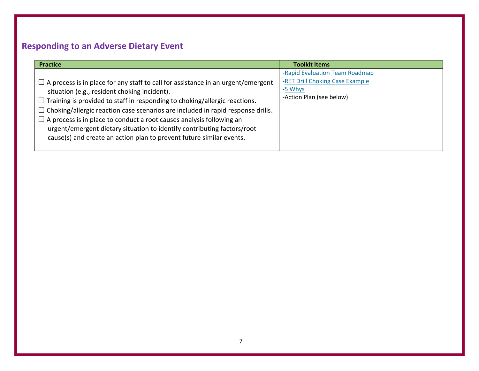### **Responding to an Adverse Dietary Event**

| <b>Practice</b>                                                                                                                                                                                                                                                                                                                                                                                                                                                                                                                                          | <b>Toolkit Items</b>                                                                                     |
|----------------------------------------------------------------------------------------------------------------------------------------------------------------------------------------------------------------------------------------------------------------------------------------------------------------------------------------------------------------------------------------------------------------------------------------------------------------------------------------------------------------------------------------------------------|----------------------------------------------------------------------------------------------------------|
| $\Box$ A process is in place for any staff to call for assistance in an urgent/emergent<br>situation (e.g., resident choking incident).<br>$\Box$ Training is provided to staff in responding to choking/allergic reactions.<br>$\Box$ Choking/allergic reaction case scenarios are included in rapid response drills.<br>$\Box$ A process is in place to conduct a root causes analysis following an<br>urgent/emergent dietary situation to identify contributing factors/root<br>cause(s) and create an action plan to prevent future similar events. | -Rapid Evaluation Team Roadmap<br>-RET Drill Choking Case Example<br>-5 Whys<br>-Action Plan (see below) |